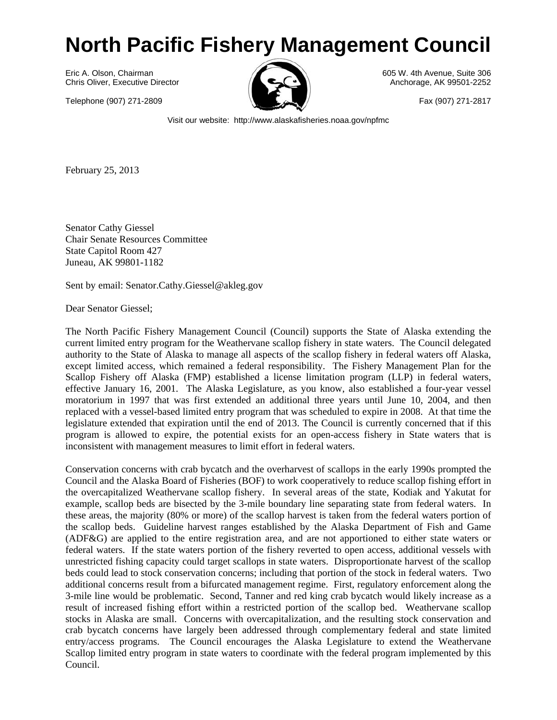## **North Pacific Fishery Management Council**

Eric A. Olson. Chairman **605 W. 4th Avenue, Suite 306** W. 4th Avenue, Suite 306 Chris Oliver, Executive Director Anchorage, AK 99501-2252

Telephone (907) 271-2809 Fax (907) 271-2817



Visit our website: http://www.alaskafisheries.noaa.gov/npfmc

February 25, 2013

Senator Cathy Giessel Chair Senate Resources Committee State Capitol Room 427 Juneau, AK 99801-1182

Sent by email: Senator.Cathy.Giessel@akleg.gov

Dear Senator Giessel;

The North Pacific Fishery Management Council (Council) supports the State of Alaska extending the current limited entry program for the Weathervane scallop fishery in state waters. The Council delegated authority to the State of Alaska to manage all aspects of the scallop fishery in federal waters off Alaska, except limited access, which remained a federal responsibility. The Fishery Management Plan for the Scallop Fishery off Alaska (FMP) established a license limitation program (LLP) in federal waters, effective January 16, 2001. The Alaska Legislature, as you know, also established a four-year vessel moratorium in 1997 that was first extended an additional three years until June 10, 2004, and then replaced with a vessel-based limited entry program that was scheduled to expire in 2008. At that time the legislature extended that expiration until the end of 2013. The Council is currently concerned that if this program is allowed to expire, the potential exists for an open-access fishery in State waters that is inconsistent with management measures to limit effort in federal waters.

Conservation concerns with crab bycatch and the overharvest of scallops in the early 1990s prompted the Council and the Alaska Board of Fisheries (BOF) to work cooperatively to reduce scallop fishing effort in the overcapitalized Weathervane scallop fishery. In several areas of the state, Kodiak and Yakutat for example, scallop beds are bisected by the 3-mile boundary line separating state from federal waters. In these areas, the majority (80% or more) of the scallop harvest is taken from the federal waters portion of the scallop beds. Guideline harvest ranges established by the Alaska Department of Fish and Game (ADF&G) are applied to the entire registration area, and are not apportioned to either state waters or federal waters. If the state waters portion of the fishery reverted to open access, additional vessels with unrestricted fishing capacity could target scallops in state waters. Disproportionate harvest of the scallop beds could lead to stock conservation concerns; including that portion of the stock in federal waters. Two additional concerns result from a bifurcated management regime. First, regulatory enforcement along the 3-mile line would be problematic. Second, Tanner and red king crab bycatch would likely increase as a result of increased fishing effort within a restricted portion of the scallop bed. Weathervane scallop stocks in Alaska are small. Concerns with overcapitalization, and the resulting stock conservation and crab bycatch concerns have largely been addressed through complementary federal and state limited entry/access programs. The Council encourages the Alaska Legislature to extend the Weathervane Scallop limited entry program in state waters to coordinate with the federal program implemented by this Council.